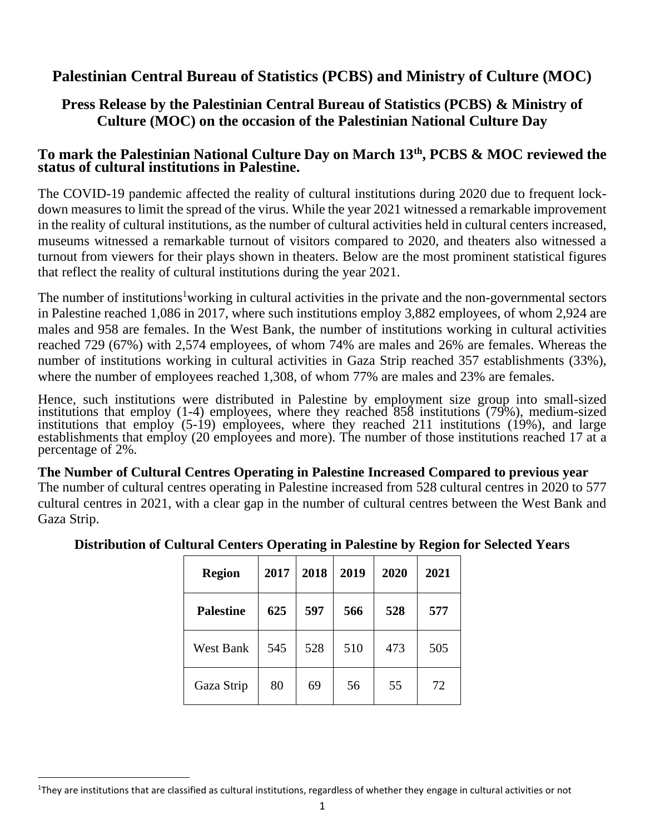# **Palestinian Central Bureau of Statistics (PCBS) and Ministry of Culture (MOC)**

# **Press Release by the Palestinian Central Bureau of Statistics (PCBS) & Ministry of Culture (MOC) on the occasion of the Palestinian National Culture Day**

## **To mark the Palestinian National Culture Day on March 13th, PCBS & MOC reviewed the status of cultural institutions in Palestine.**

The COVID-19 pandemic affected the reality of cultural institutions during 2020 due to frequent lockdown measures to limit the spread of the virus. While the year 2021 witnessed a remarkable improvement in the reality of cultural institutions, as the number of cultural activities held in cultural centers increased, museums witnessed a remarkable turnout of visitors compared to 2020, and theaters also witnessed a turnout from viewers for their plays shown in theaters. Below are the most prominent statistical figures that reflect the reality of cultural institutions during the year 2021.

The number of institutions<sup>1</sup>working in cultural activities in the private and the non-governmental sectors in Palestine reached 1,086 in 2017, where such institutions employ 3,882 employees, of whom 2,924 are males and 958 are females. In the West Bank, the number of institutions working in cultural activities reached 729 (67%) with 2,574 employees, of whom 74% are males and 26% are females. Whereas the number of institutions working in cultural activities in Gaza Strip reached 357 establishments (33%), where the number of employees reached 1,308, of whom 77% are males and 23% are females.

Hence, such institutions were distributed in Palestine by employment size group into small-sized institutions that employ (1-4) employees, where they reached 858 institutions (79%), medium-sized institutions that employ (5-19) employees, where they reached 211 institutions (19%), and large establishments that employ (20 employees and more). The number of those institutions reached 17 at a percentage of 2%.

**The Number of Cultural Centres Operating in Palestine Increased Compared to previous year** The number of cultural centres operating in Palestine increased from 528 cultural centres in 2020 to 577 cultural centres in 2021, with a clear gap in the number of cultural centres between the West Bank and Gaza Strip.

| <b>Region</b>    | 2017 | 2018 | 2019 | 2020 | 2021 |
|------------------|------|------|------|------|------|
| <b>Palestine</b> | 625  | 597  | 566  | 528  | 577  |
| <b>West Bank</b> | 545  | 528  | 510  | 473  | 505  |
| Gaza Strip       | 80   | 69   | 56   | 55   | 72   |

### **Distribution of Cultural Centers Operating in Palestine by Region for Selected Years**

<sup>1</sup>They are institutions that are classified as cultural institutions, regardless of whether they engage in cultural activities or not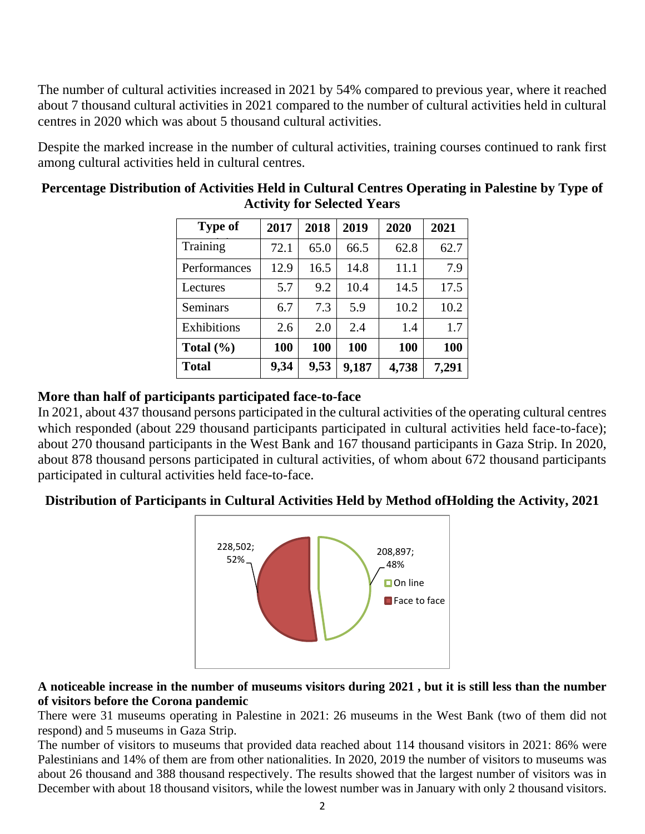The number of cultural activities increased in 2021 by 54% compared to previous year, where it reached about 7 thousand cultural activities in 2021 compared to the number of cultural activities held in cultural centres in 2020 which was about 5 thousand cultural activities.

Despite the marked increase in the number of cultural activities, training courses continued to rank first among cultural activities held in cultural centres.

| <b>Type of</b>  | 2017 | 2018 | 2019  | 2020  | 2021  |
|-----------------|------|------|-------|-------|-------|
| Training        | 72.1 | 65.0 | 66.5  | 62.8  | 62.7  |
| Performances    | 12.9 | 16.5 | 14.8  | 11.1  | 7.9   |
| Lectures        | 5.7  | 9.2  | 10.4  | 14.5  | 17.5  |
| <b>Seminars</b> | 6.7  | 7.3  | 5.9   | 10.2  | 10.2  |
| Exhibitions     | 2.6  | 2.0  | 2.4   | 1.4   | 1.7   |
| Total $(\% )$   | 100  | 100  | 100   | 100   | 100   |
| <b>Total</b>    | 9,34 | 9,53 | 9,187 | 4,738 | 7,291 |

## **Percentage Distribution of Activities Held in Cultural Centres Operating in Palestine by Type of Activity for Selected Years**

#### **(Number) 5 4 More than half of participants participated face-to-face**

In 2021, about 437 thousand persons participated in the cultural activities of the operating cultural centres which responded (about 229 thousand participants participated in cultural activities held face-to-face); about 270 thousand participants in the West Bank and 167 thousand participants in Gaza Strip. In 2020, about 878 thousand persons participated in cultural activities, of whom about 672 thousand participants participated in cultural activities held face-to-face.

### **Distribution of Participants in Cultural Activities Held by Method ofHolding the Activity, 2021**



#### **A noticeable increase in the number of museums visitors during 2021 , but it is still less than the number of visitors before the Corona pandemic**

There were 31 museums operating in Palestine in 2021: 26 museums in the West Bank (two of them did not respond) and 5 museums in Gaza Strip.

The number of visitors to museums that provided data reached about 114 thousand visitors in 2021: 86% were Palestinians and 14% of them are from other nationalities. In 2020, 2019 the number of visitors to museums was about 26 thousand and 388 thousand respectively. The results showed that the largest number of visitors was in December with about 18 thousand visitors, while the lowest number was in January with only 2 thousand visitors.